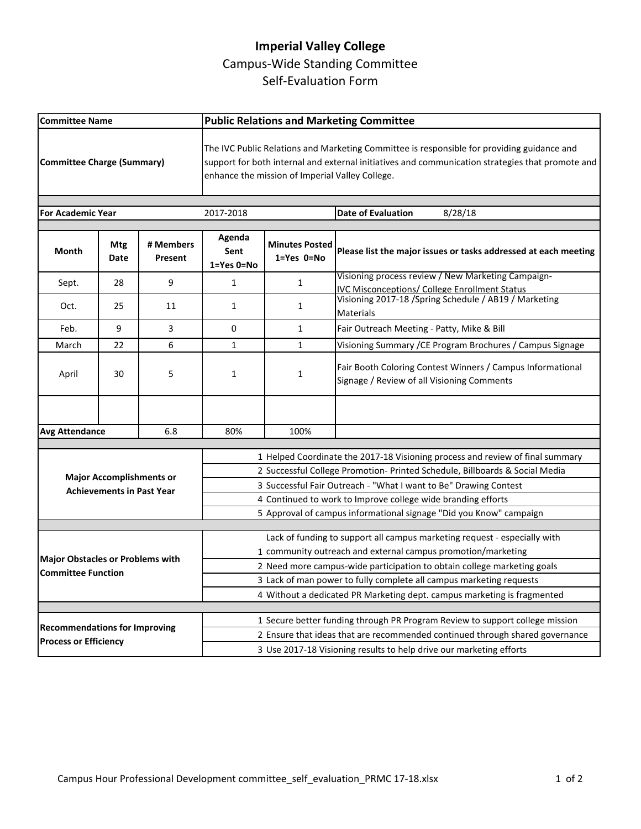## **Imperial Valley College** Campus-Wide Standing Committee Self-Evaluation Form

| <b>Committee Name</b>                                                |             |                      | <b>Public Relations and Marketing Committee</b>                                                                                                                                                                                                   |                                     |                                                                                                                                    |  |
|----------------------------------------------------------------------|-------------|----------------------|---------------------------------------------------------------------------------------------------------------------------------------------------------------------------------------------------------------------------------------------------|-------------------------------------|------------------------------------------------------------------------------------------------------------------------------------|--|
| <b>Committee Charge (Summary)</b>                                    |             |                      | The IVC Public Relations and Marketing Committee is responsible for providing guidance and<br>support for both internal and external initiatives and communication strategies that promote and<br>enhance the mission of Imperial Valley College. |                                     |                                                                                                                                    |  |
| <b>For Academic Year</b>                                             |             |                      | 2017-2018                                                                                                                                                                                                                                         |                                     | 8/28/18<br><b>Date of Evaluation</b>                                                                                               |  |
|                                                                      |             |                      |                                                                                                                                                                                                                                                   |                                     |                                                                                                                                    |  |
| Month                                                                | Mtg<br>Date | # Members<br>Present | Agenda<br>Sent<br>1=Yes 0=No                                                                                                                                                                                                                      | <b>Minutes Posted</b><br>1=Yes 0=No | Please list the major issues or tasks addressed at each meeting                                                                    |  |
| Sept.                                                                | 28          | 9                    | $\mathbf{1}$                                                                                                                                                                                                                                      | $\mathbf{1}$                        | Visioning process review / New Marketing Campaign-                                                                                 |  |
| Oct.                                                                 | 25          | 11                   | 1                                                                                                                                                                                                                                                 | $\mathbf{1}$                        | <b>IVC Misconceptions/ College Enrollment Status</b><br>Visioning 2017-18 / Spring Schedule / AB19 / Marketing<br><b>Materials</b> |  |
| Feb.                                                                 | 9           | 3                    | $\Omega$                                                                                                                                                                                                                                          | $\mathbf{1}$                        | Fair Outreach Meeting - Patty, Mike & Bill                                                                                         |  |
| March                                                                | 22          | 6                    | $\mathbf{1}$                                                                                                                                                                                                                                      | $\mathbf{1}$                        | Visioning Summary / CE Program Brochures / Campus Signage                                                                          |  |
| April                                                                | 30          | 5                    | 1                                                                                                                                                                                                                                                 | 1                                   | Fair Booth Coloring Contest Winners / Campus Informational<br>Signage / Review of all Visioning Comments                           |  |
|                                                                      |             |                      |                                                                                                                                                                                                                                                   |                                     |                                                                                                                                    |  |
| <b>Avg Attendance</b><br>6.8                                         |             | 80%                  | 100%                                                                                                                                                                                                                                              |                                     |                                                                                                                                    |  |
|                                                                      |             |                      |                                                                                                                                                                                                                                                   |                                     |                                                                                                                                    |  |
| <b>Major Accomplishments or</b><br><b>Achievements in Past Year</b>  |             |                      | 1 Helped Coordinate the 2017-18 Visioning process and review of final summary<br>2 Successful College Promotion- Printed Schedule, Billboards & Social Media                                                                                      |                                     |                                                                                                                                    |  |
|                                                                      |             |                      | 3 Successful Fair Outreach - "What I want to Be" Drawing Contest                                                                                                                                                                                  |                                     |                                                                                                                                    |  |
|                                                                      |             |                      | 4 Continued to work to Improve college wide branding efforts                                                                                                                                                                                      |                                     |                                                                                                                                    |  |
|                                                                      |             |                      | 5 Approval of campus informational signage "Did you Know" campaign                                                                                                                                                                                |                                     |                                                                                                                                    |  |
|                                                                      |             |                      |                                                                                                                                                                                                                                                   |                                     |                                                                                                                                    |  |
|                                                                      |             |                      | Lack of funding to support all campus marketing request - especially with                                                                                                                                                                         |                                     |                                                                                                                                    |  |
| <b>Major Obstacles or Problems with</b><br><b>Committee Function</b> |             |                      | 1 community outreach and external campus promotion/marketing                                                                                                                                                                                      |                                     |                                                                                                                                    |  |
|                                                                      |             |                      | 2 Need more campus-wide participation to obtain college marketing goals                                                                                                                                                                           |                                     |                                                                                                                                    |  |
|                                                                      |             |                      | 3 Lack of man power to fully complete all campus marketing requests                                                                                                                                                                               |                                     |                                                                                                                                    |  |
|                                                                      |             |                      |                                                                                                                                                                                                                                                   |                                     | 4 Without a dedicated PR Marketing dept. campus marketing is fragmented                                                            |  |
|                                                                      |             |                      |                                                                                                                                                                                                                                                   |                                     | 1 Secure better funding through PR Program Review to support college mission                                                       |  |
| <b>Recommendations for Improving</b><br><b>Process or Efficiency</b> |             |                      | 2 Ensure that ideas that are recommended continued through shared governance                                                                                                                                                                      |                                     |                                                                                                                                    |  |
|                                                                      |             |                      | 3 Use 2017-18 Visioning results to help drive our marketing efforts                                                                                                                                                                               |                                     |                                                                                                                                    |  |